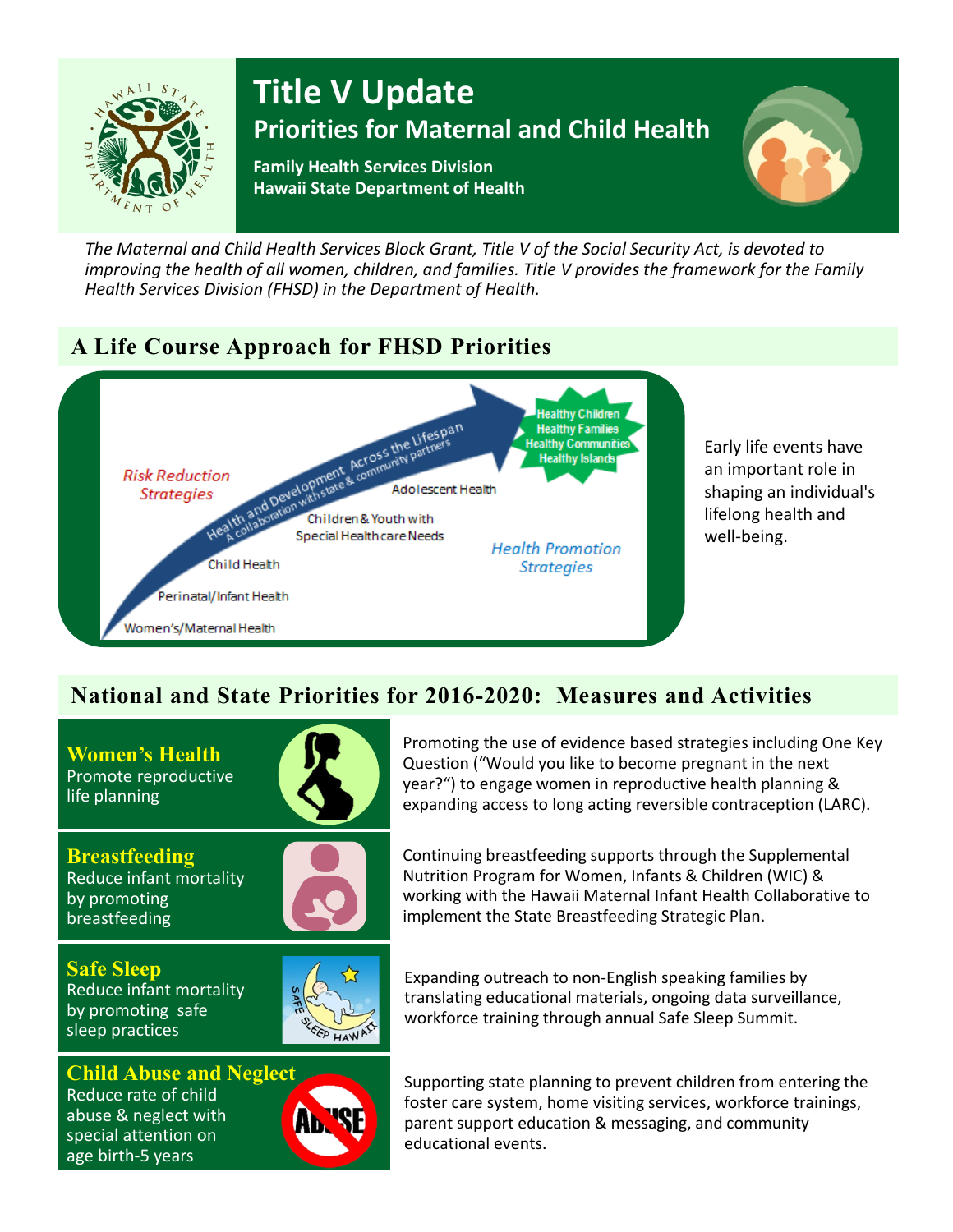

# **Title V Update Priorities for Maternal and Child Health**

**Family Health Services Division Hawaii State Department of Health**



*The Maternal and Child Health Services Block Grant, Title V of the Social Security Act, is devoted to improving the health of all women, children, and families. Title V provides the framework for the Family Health Services Division (FHSD) in the Department of Health.*

# **A Life Course Approach for FHSD Priorities**



Early life events have an important role in shaping an individual's lifelong health and well-being.

# **National and State Priorities for 2016-2020: Measures and Activities**

**Women's Health** Promote reproductive life planning



**Breastfeeding** Reduce infant mortality by promoting breastfeeding

**Safe Sleep** Reduce infant mortality by promoting safe sleep practices



Promoting the use of evidence based strategies including One Key Question ("Would you like to become pregnant in the next year?") to engage women in reproductive health planning & expanding access to long acting reversible contraception (LARC).

Continuing breastfeeding supports through the Supplemental Nutrition Program for Women, Infants & Children (WIC) & working with the Hawaii Maternal Infant Health Collaborative to implement the State Breastfeeding Strategic Plan.



**Child Abuse and Neglect** Reduce rate of child abuse & neglect with special attention on age birth-5 years



Expanding outreach to non-English speaking families by translating educational materials, ongoing data surveillance, workforce training through annual Safe Sleep Summit.

Supporting state planning to prevent children from entering the foster care system, home visiting services, workforce trainings, parent support education & messaging, and community educational events.